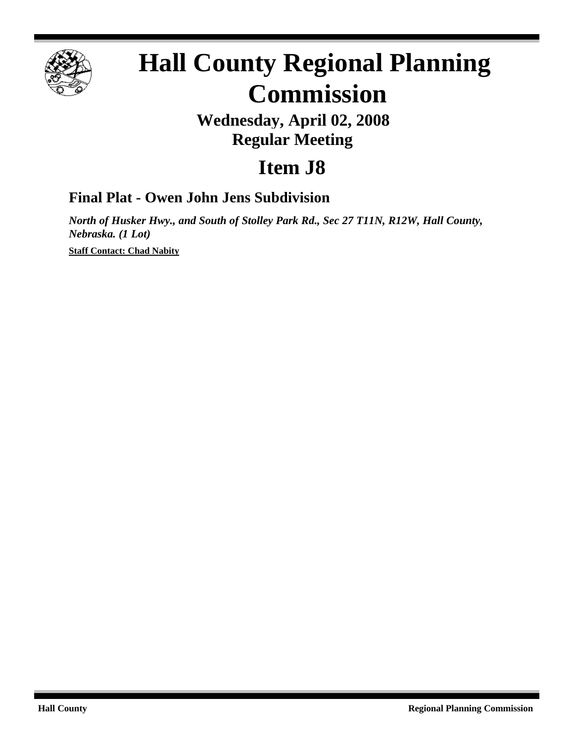

# **Hall County Regional Planning Commission**

## **Wednesday, April 02, 2008 Regular Meeting**

# **Item J8**

### **Final Plat - Owen John Jens Subdivision**

*North of Husker Hwy., and South of Stolley Park Rd., Sec 27 T11N, R12W, Hall County, Nebraska. (1 Lot)*

**Staff Contact: Chad Nabity**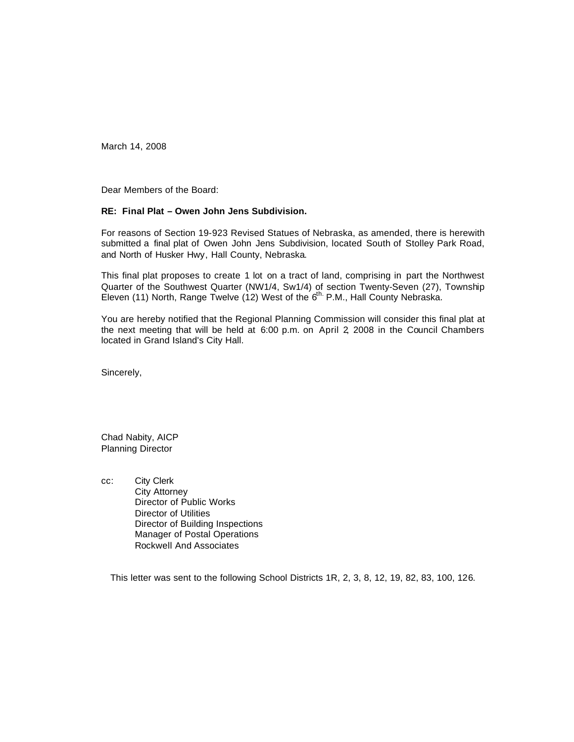March 14, 2008

Dear Members of the Board:

#### **RE: Final Plat – Owen John Jens Subdivision.**

For reasons of Section 19-923 Revised Statues of Nebraska, as amended, there is herewith submitted a final plat of Owen John Jens Subdivision, located South of Stolley Park Road, and North of Husker Hwy, Hall County, Nebraska.

This final plat proposes to create 1 lot on a tract of land, comprising in part the Northwest Quarter of the Southwest Quarter (NW1/4, Sw1/4) of section Twenty-Seven (27), Township Eleven (11) North, Range Twelve (12) West of the  $6^{th}$  P.M., Hall County Nebraska.

You are hereby notified that the Regional Planning Commission will consider this final plat at the next meeting that will be held at 6:00 p.m. on April 2, 2008 in the Council Chambers located in Grand Island's City Hall.

Sincerely,

Chad Nabity, AICP Planning Director

cc: City Clerk City Attorney Director of Public Works Director of Utilities Director of Building Inspections Manager of Postal Operations Rockwell And Associates

This letter was sent to the following School Districts 1R, 2, 3, 8, 12, 19, 82, 83, 100, 126.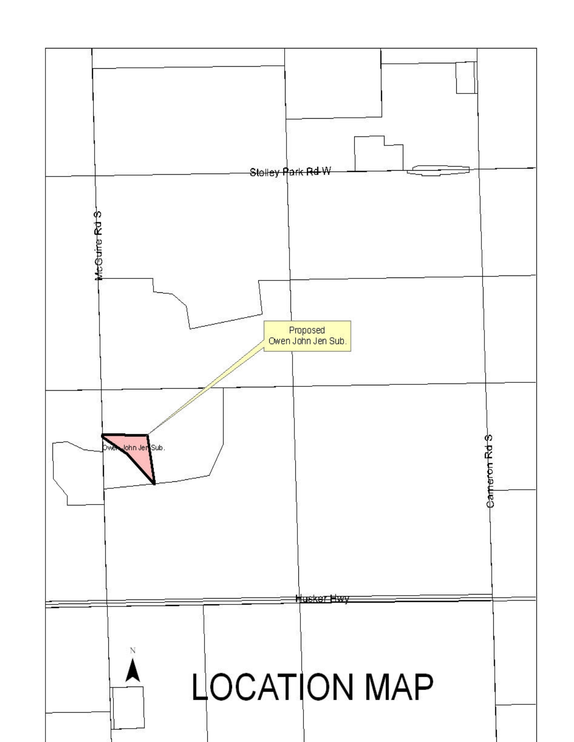